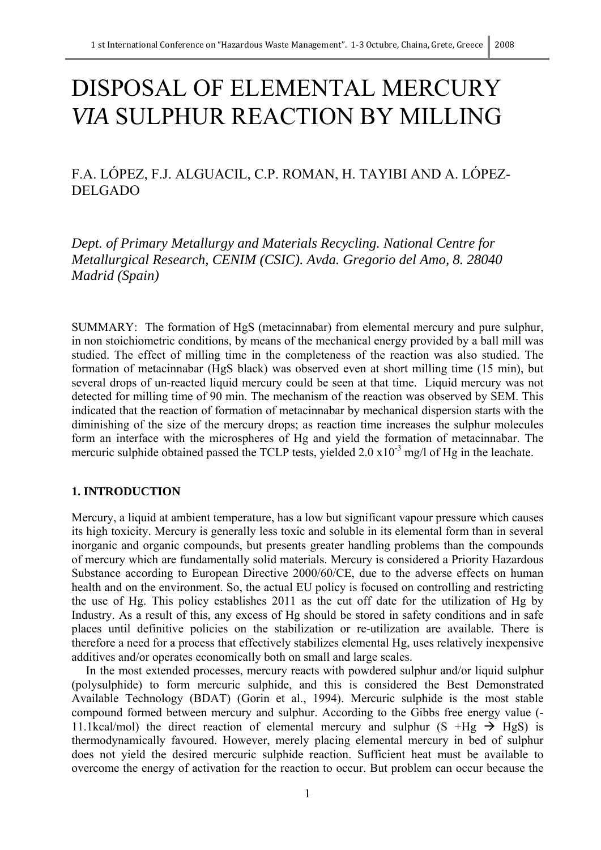# DISPOSAL OF ELEMENTAL MERCURY *VIA* SULPHUR REACTION BY MILLING

F.A. LÓPEZ, F.J. ALGUACIL, C.P. ROMAN, H. TAYIBI AND A. LÓPEZ-DELGADO

*Dept. of Primary Metallurgy and Materials Recycling. National Centre for Metallurgical Research, CENIM (CSIC). Avda. Gregorio del Amo, 8. 28040 Madrid (Spain)*

SUMMARY: The formation of HgS (metacinnabar) from elemental mercury and pure sulphur, in non stoichiometric conditions, by means of the mechanical energy provided by a ball mill was studied. The effect of milling time in the completeness of the reaction was also studied. The formation of metacinnabar (HgS black) was observed even at short milling time (15 min), but several drops of un-reacted liquid mercury could be seen at that time. Liquid mercury was not detected for milling time of 90 min. The mechanism of the reaction was observed by SEM. This indicated that the reaction of formation of metacinnabar by mechanical dispersion starts with the diminishing of the size of the mercury drops; as reaction time increases the sulphur molecules form an interface with the microspheres of Hg and yield the formation of metacinnabar. The mercuric sulphide obtained passed the TCLP tests, yielded  $2.0 \times 10^{-3}$  mg/l of Hg in the leachate.

# **1. INTRODUCTION**

Mercury, a liquid at ambient temperature, has a low but significant vapour pressure which causes its high toxicity. Mercury is generally less toxic and soluble in its elemental form than in several inorganic and organic compounds, but presents greater handling problems than the compounds of mercury which are fundamentally solid materials. Mercury is considered a Priority Hazardous Substance according to European Directive 2000/60/CE, due to the adverse effects on human health and on the environment. So, the actual EU policy is focused on controlling and restricting the use of Hg. This policy establishes 2011 as the cut off date for the utilization of Hg by Industry. As a result of this, any excess of Hg should be stored in safety conditions and in safe places until definitive policies on the stabilization or re-utilization are available. There is therefore a need for a process that effectively stabilizes elemental Hg, uses relatively inexpensive additives and/or operates economically both on small and large scales.

In the most extended processes, mercury reacts with powdered sulphur and/or liquid sulphur (polysulphide) to form mercuric sulphide, and this is considered the Best Demonstrated Available Technology (BDAT) (Gorin et al., 1994). Mercuric sulphide is the most stable compound formed between mercury and sulphur. According to the Gibbs free energy value (- 11.1kcal/mol) the direct reaction of elemental mercury and sulphur  $(S + Hg \rightarrow HgS)$  is thermodynamically favoured. However, merely placing elemental mercury in bed of sulphur does not yield the desired mercuric sulphide reaction. Sufficient heat must be available to overcome the energy of activation for the reaction to occur. But problem can occur because the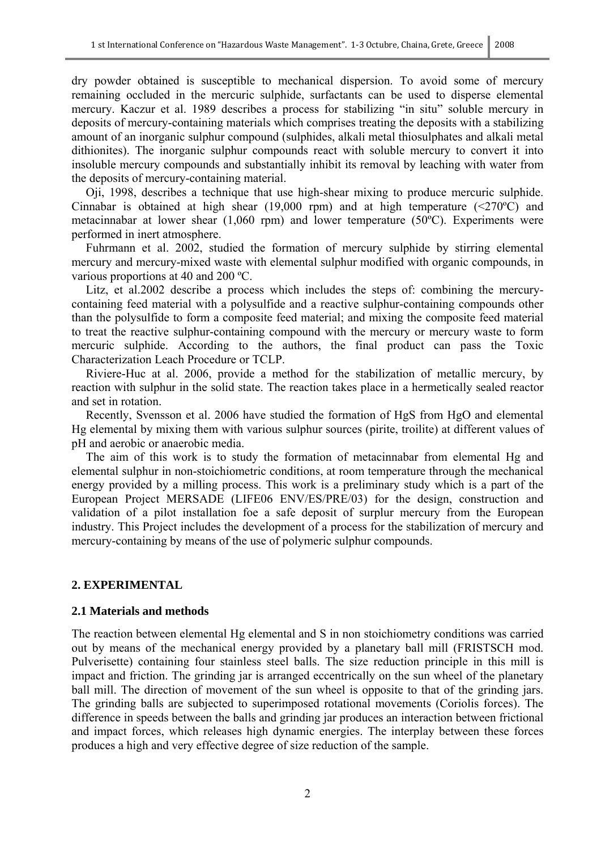dry powder obtained is susceptible to mechanical dispersion. To avoid some of mercury remaining occluded in the mercuric sulphide, surfactants can be used to disperse elemental mercury. Kaczur et al. 1989 describes a process for stabilizing "in situ" soluble mercury in deposits of mercury-containing materials which comprises treating the deposits with a stabilizing amount of an inorganic sulphur compound (sulphides, alkali metal thiosulphates and alkali metal dithionites). The inorganic sulphur compounds react with soluble mercury to convert it into insoluble mercury compounds and substantially inhibit its removal by leaching with water from the deposits of mercury-containing material.

Oji, 1998, describes a technique that use high-shear mixing to produce mercuric sulphide. Cinnabar is obtained at high shear (19,000 rpm) and at high temperature  $(\leq 270^{\circ}C)$  and metacinnabar at lower shear (1,060 rpm) and lower temperature (50ºC). Experiments were performed in inert atmosphere.

Fuhrmann et al. 2002, studied the formation of mercury sulphide by stirring elemental mercury and mercury-mixed waste with elemental sulphur modified with organic compounds, in various proportions at 40 and 200 ºC.

Litz, et al.2002 describe a process which includes the steps of: combining the mercurycontaining feed material with a polysulfide and a reactive sulphur-containing compounds other than the polysulfide to form a composite feed material; and mixing the composite feed material to treat the reactive sulphur-containing compound with the mercury or mercury waste to form mercuric sulphide. According to the authors, the final product can pass the Toxic Characterization Leach Procedure or TCLP.

Riviere-Huc at al. 2006, provide a method for the stabilization of metallic mercury, by reaction with sulphur in the solid state. The reaction takes place in a hermetically sealed reactor and set in rotation.

Recently, Svensson et al. 2006 have studied the formation of HgS from HgO and elemental Hg elemental by mixing them with various sulphur sources (pirite, troilite) at different values of pH and aerobic or anaerobic media.

The aim of this work is to study the formation of metacinnabar from elemental Hg and elemental sulphur in non-stoichiometric conditions, at room temperature through the mechanical energy provided by a milling process. This work is a preliminary study which is a part of the European Project MERSADE (LIFE06 ENV/ES/PRE/03) for the design, construction and validation of a pilot installation foe a safe deposit of surplur mercury from the European industry. This Project includes the development of a process for the stabilization of mercury and mercury-containing by means of the use of polymeric sulphur compounds.

#### **2. EXPERIMENTAL**

#### **2.1 Materials and methods**

The reaction between elemental Hg elemental and S in non stoichiometry conditions was carried out by means of the mechanical energy provided by a planetary ball mill (FRISTSCH mod. Pulverisette) containing four stainless steel balls. The size reduction principle in this mill is impact and friction. The grinding jar is arranged eccentrically on the sun wheel of the planetary ball mill. The direction of movement of the sun wheel is opposite to that of the grinding jars. The grinding balls are subjected to superimposed rotational movements (Coriolis forces). The difference in speeds between the balls and grinding jar produces an interaction between frictional and impact forces, which releases high dynamic energies. The interplay between these forces produces a high and very effective degree of size reduction of the sample.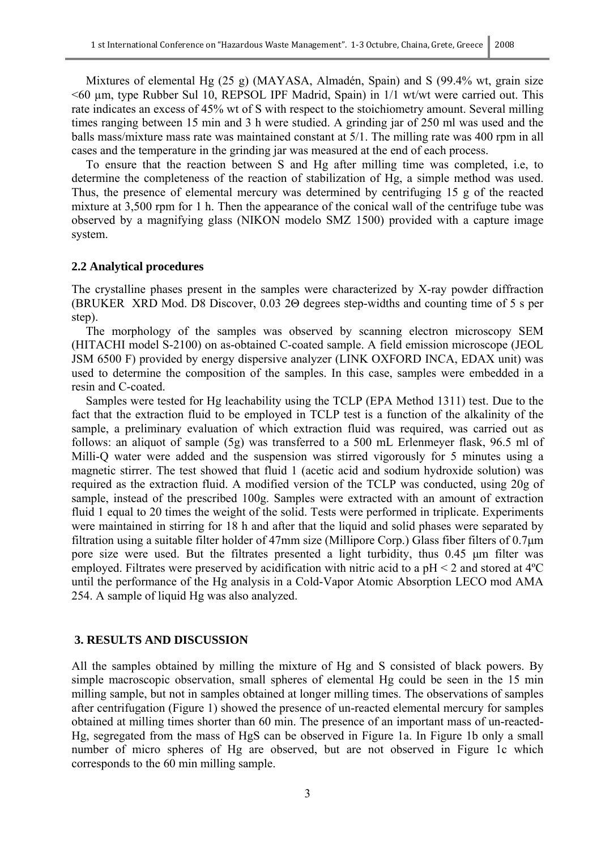Mixtures of elemental Hg (25 g) (MAYASA, Almadén, Spain) and S (99.4% wt, grain size <60 µm, type Rubber Sul 10, REPSOL IPF Madrid, Spain) in 1/1 wt/wt were carried out. This rate indicates an excess of 45% wt of S with respect to the stoichiometry amount. Several milling times ranging between 15 min and 3 h were studied. A grinding jar of 250 ml was used and the balls mass/mixture mass rate was maintained constant at 5/1. The milling rate was 400 rpm in all cases and the temperature in the grinding jar was measured at the end of each process.

To ensure that the reaction between S and Hg after milling time was completed, i.e, to determine the completeness of the reaction of stabilization of Hg, a simple method was used. Thus, the presence of elemental mercury was determined by centrifuging 15 g of the reacted mixture at 3,500 rpm for 1 h. Then the appearance of the conical wall of the centrifuge tube was observed by a magnifying glass (NIKON modelo SMZ 1500) provided with a capture image system.

#### **2.2 Analytical procedures**

The crystalline phases present in the samples were characterized by X-ray powder diffraction (BRUKER XRD Mod. D8 Discover, 0.03 2Θ degrees step-widths and counting time of 5 s per step).

The morphology of the samples was observed by scanning electron microscopy SEM (HITACHI model S-2100) on as-obtained C-coated sample. A field emission microscope (JEOL JSM 6500 F) provided by energy dispersive analyzer (LINK OXFORD INCA, EDAX unit) was used to determine the composition of the samples. In this case, samples were embedded in a resin and C-coated.

Samples were tested for Hg leachability using the TCLP (EPA Method 1311) test. Due to the fact that the extraction fluid to be employed in TCLP test is a function of the alkalinity of the sample, a preliminary evaluation of which extraction fluid was required, was carried out as follows: an aliquot of sample (5g) was transferred to a 500 mL Erlenmeyer flask, 96.5 ml of Milli-Q water were added and the suspension was stirred vigorously for 5 minutes using a magnetic stirrer. The test showed that fluid 1 (acetic acid and sodium hydroxide solution) was required as the extraction fluid. A modified version of the TCLP was conducted, using 20g of sample, instead of the prescribed 100g. Samples were extracted with an amount of extraction fluid 1 equal to 20 times the weight of the solid. Tests were performed in triplicate. Experiments were maintained in stirring for 18 h and after that the liquid and solid phases were separated by filtration using a suitable filter holder of 47mm size (Millipore Corp.) Glass fiber filters of 0.7μm pore size were used. But the filtrates presented a light turbidity, thus 0.45 μm filter was employed. Filtrates were preserved by acidification with nitric acid to a pH < 2 and stored at 4ºC until the performance of the Hg analysis in a Cold-Vapor Atomic Absorption LECO mod AMA 254. A sample of liquid Hg was also analyzed.

#### **3. RESULTS AND DISCUSSION**

All the samples obtained by milling the mixture of Hg and S consisted of black powers. By simple macroscopic observation, small spheres of elemental Hg could be seen in the 15 min milling sample, but not in samples obtained at longer milling times. The observations of samples after centrifugation (Figure 1) showed the presence of un-reacted elemental mercury for samples obtained at milling times shorter than 60 min. The presence of an important mass of un-reacted-Hg, segregated from the mass of HgS can be observed in Figure 1a. In Figure 1b only a small number of micro spheres of Hg are observed, but are not observed in Figure 1c which corresponds to the 60 min milling sample.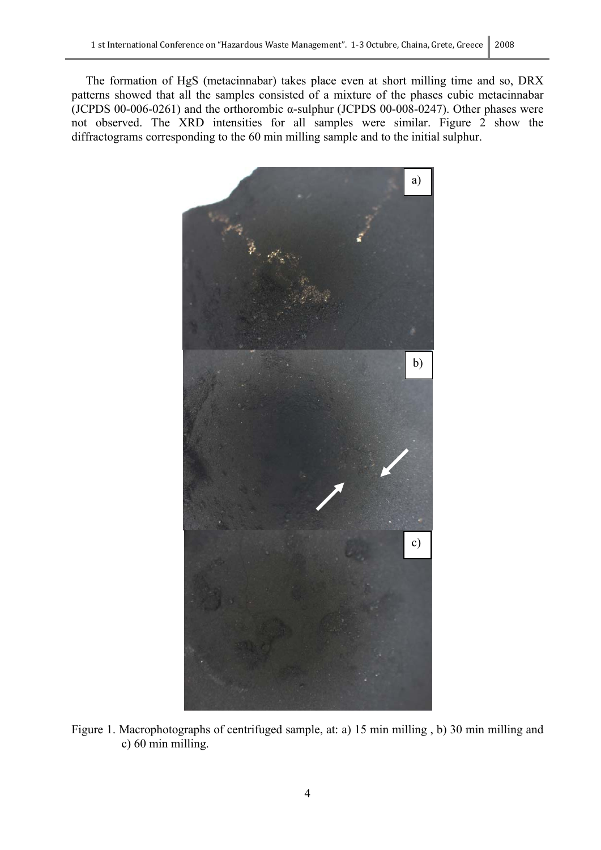The formation of HgS (metacinnabar) takes place even at short milling time and so, DRX patterns showed that all the samples consisted of a mixture of the phases cubic metacinnabar (JCPDS 00-006-0261) and the orthorombic  $\alpha$ -sulphur (JCPDS 00-008-0247). Other phases were not observed. The XRD intensities for all samples were similar. Figure 2 show the diffractograms corresponding to the 60 min milling sample and to the initial sulphur.



Figure 1. Macrophotographs of centrifuged sample, at: a) 15 min milling , b) 30 min milling and c) 60 min milling.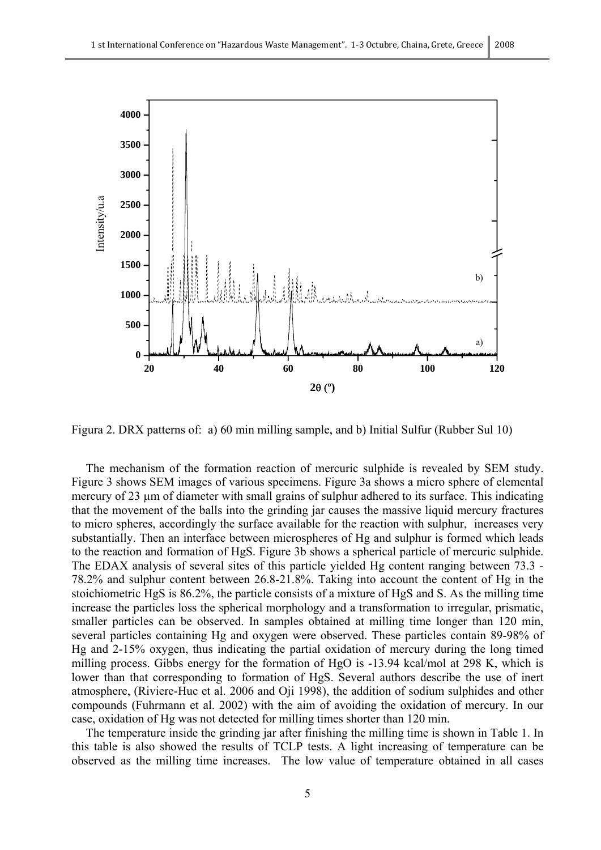

Figura 2. DRX patterns of: a) 60 min milling sample, and b) Initial Sulfur (Rubber Sul 10)

The mechanism of the formation reaction of mercuric sulphide is revealed by SEM study. Figure 3 shows SEM images of various specimens. Figure 3a shows a micro sphere of elemental mercury of 23  $\mu$ m of diameter with small grains of sulphur adhered to its surface. This indicating that the movement of the balls into the grinding jar causes the massive liquid mercury fractures to micro spheres, accordingly the surface available for the reaction with sulphur, increases very substantially. Then an interface between microspheres of Hg and sulphur is formed which leads to the reaction and formation of HgS. Figure 3b shows a spherical particle of mercuric sulphide. The EDAX analysis of several sites of this particle yielded Hg content ranging between 73.3 - 78.2% and sulphur content between 26.8-21.8%. Taking into account the content of Hg in the stoichiometric HgS is 86.2%, the particle consists of a mixture of HgS and S. As the milling time increase the particles loss the spherical morphology and a transformation to irregular, prismatic, smaller particles can be observed. In samples obtained at milling time longer than 120 min, several particles containing Hg and oxygen were observed. These particles contain 89-98% of Hg and 2-15% oxygen, thus indicating the partial oxidation of mercury during the long timed milling process. Gibbs energy for the formation of HgO is -13.94 kcal/mol at 298 K, which is lower than that corresponding to formation of HgS. Several authors describe the use of inert atmosphere, (Riviere-Huc et al. 2006 and Oji 1998), the addition of sodium sulphides and other compounds (Fuhrmann et al. 2002) with the aim of avoiding the oxidation of mercury. In our case, oxidation of Hg was not detected for milling times shorter than 120 min.

The temperature inside the grinding jar after finishing the milling time is shown in Table 1. In this table is also showed the results of TCLP tests. A light increasing of temperature can be observed as the milling time increases. The low value of temperature obtained in all cases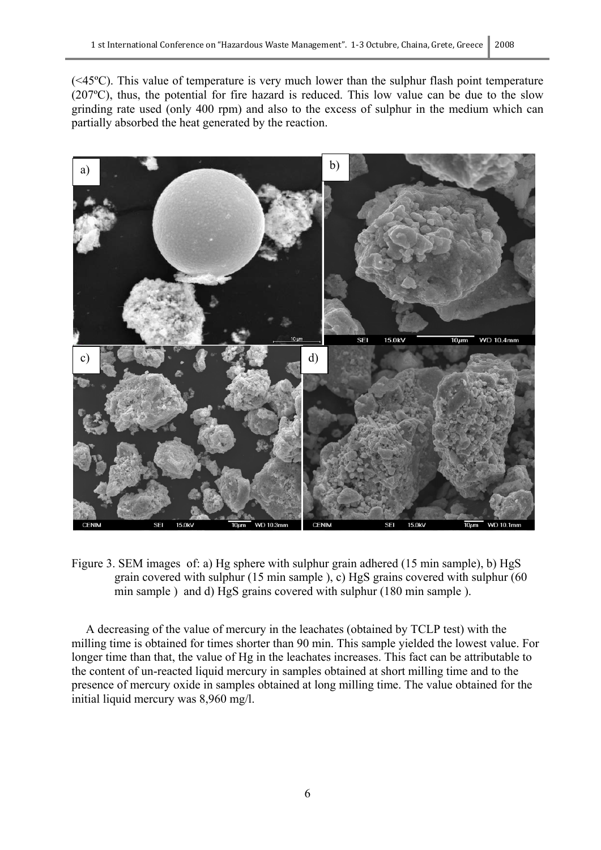(<45ºC). This value of temperature is very much lower than the sulphur flash point temperature (207ºC), thus, the potential for fire hazard is reduced. This low value can be due to the slow grinding rate used (only 400 rpm) and also to the excess of sulphur in the medium which can partially absorbed the heat generated by the reaction.



Figure 3. SEM images of: a) Hg sphere with sulphur grain adhered (15 min sample), b) HgS grain covered with sulphur (15 min sample ), c) HgS grains covered with sulphur (60 min sample ) and d) HgS grains covered with sulphur (180 min sample ).

A decreasing of the value of mercury in the leachates (obtained by TCLP test) with the milling time is obtained for times shorter than 90 min. This sample yielded the lowest value. For longer time than that, the value of Hg in the leachates increases. This fact can be attributable to the content of un-reacted liquid mercury in samples obtained at short milling time and to the presence of mercury oxide in samples obtained at long milling time. The value obtained for the initial liquid mercury was 8,960 mg/l.